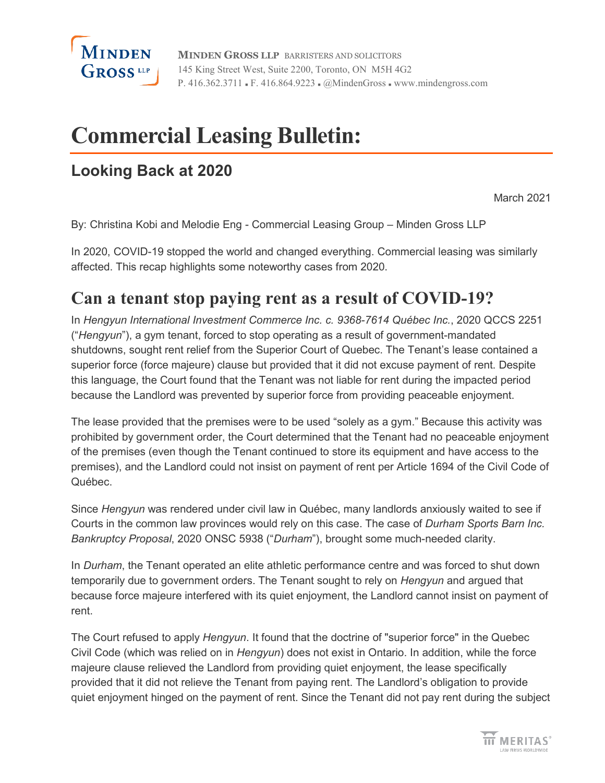

**MINDEN GROSS LLP** BARRISTERS AND SOLICITORS 145 King Street West, Suite 2200, Toronto, ON M5H 4G2 P. 416.362.3711 • F. 416.864.9223 • @MindenGross • www.mindengross.com

# **Commercial Leasing Bulletin:**

### **Looking Back at 2020**

March 2021

By: Christina Kobi and Melodie Eng - Commercial [Leasing Group](https://www.mindengross.com/client-services/details/commercial-leasing) – Minden Gross LLP

In 2020, COVID-19 stopped the world and changed everything. Commercial leasing was similarly affected. This recap highlights some noteworthy cases from 2020.

# **Can a tenant stop paying rent as a result of COVID-19?**

In *Hengyun International Investment Commerce Inc. c. 9368-7614 Québec Inc.*, 2020 QCCS 2251 ("*Hengyun*"), a gym tenant, forced to stop operating as a result of government-mandated shutdowns, sought rent relief from the Superior Court of Quebec. The Tenant's lease contained a superior force (force majeure) clause but provided that it did not excuse payment of rent. Despite this language, the Court found that the Tenant was not liable for rent during the impacted period because the Landlord was prevented by superior force from providing peaceable enjoyment.

The lease provided that the premises were to be used "solely as a gym." Because this activity was prohibited by government order, the Court determined that the Tenant had no peaceable enjoyment of the premises (even though the Tenant continued to store its equipment and have access to the premises), and the Landlord could not insist on payment of rent per Article 1694 of the Civil Code of Québec.

Since *Hengyun* was rendered under civil law in Québec, many landlords anxiously waited to see if Courts in the common law provinces would rely on this case. The case of *Durham Sports Barn Inc. Bankruptcy Proposal*, 2020 ONSC 5938 ("*Durham*"), brought some much-needed clarity.

In *Durham*, the Tenant operated an elite athletic performance centre and was forced to shut down temporarily due to government orders. The Tenant sought to rely on *Hengyun* and argued that because force majeure interfered with its quiet enjoyment, the Landlord cannot insist on payment of rent.

The Court refused to apply *Hengyun*. It found that the doctrine of "superior force" in the Quebec Civil Code (which was relied on in *Hengyun*) does not exist in Ontario. In addition, while the force majeure clause relieved the Landlord from providing quiet enjoyment, the lease specifically provided that it did not relieve the Tenant from paying rent. The Landlord's obligation to provide quiet enjoyment hinged on the payment of rent. Since the Tenant did not pay rent during the subject

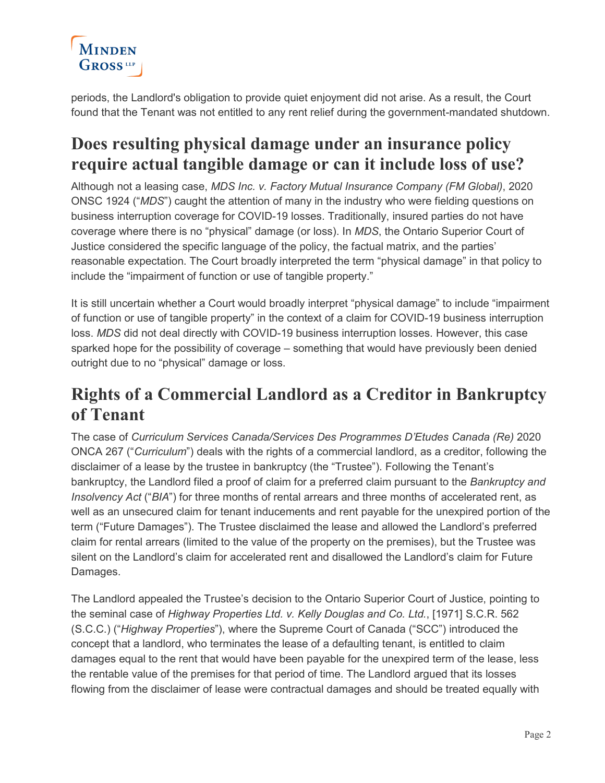

periods, the Landlord's obligation to provide quiet enjoyment did not arise. As a result, the Court found that the Tenant was not entitled to any rent relief during the government-mandated shutdown.

### **Does resulting physical damage under an insurance policy require actual tangible damage or can it include loss of use?**

Although not a leasing case, *MDS Inc. v. Factory Mutual Insurance Company (FM Global)*, 2020 ONSC 1924 ("*MDS*") caught the attention of many in the industry who were fielding questions on business interruption coverage for COVID-19 losses. Traditionally, insured parties do not have coverage where there is no "physical" damage (or loss). In *MDS*, the Ontario Superior Court of Justice considered the specific language of the policy, the factual matrix, and the parties' reasonable expectation. The Court broadly interpreted the term "physical damage" in that policy to include the "impairment of function or use of tangible property."

It is still uncertain whether a Court would broadly interpret "physical damage" to include "impairment of function or use of tangible property" in the context of a claim for COVID-19 business interruption loss. *MDS* did not deal directly with COVID-19 business interruption losses. However, this case sparked hope for the possibility of coverage – something that would have previously been denied outright due to no "physical" damage or loss.

### **Rights of a Commercial Landlord as a Creditor in Bankruptcy of Tenant**

The case of *Curriculum Services Canada/Services Des Programmes D'Etudes Canada (Re)* 2020 ONCA 267 ("*Curriculum*") deals with the rights of a commercial landlord, as a creditor, following the disclaimer of a lease by the trustee in bankruptcy (the "Trustee"). Following the Tenant's bankruptcy, the Landlord filed a proof of claim for a preferred claim pursuant to the *Bankruptcy and Insolvency Act* ("*BIA*") for three months of rental arrears and three months of accelerated rent, as well as an unsecured claim for tenant inducements and rent payable for the unexpired portion of the term ("Future Damages"). The Trustee disclaimed the lease and allowed the Landlord's preferred claim for rental arrears (limited to the value of the property on the premises), but the Trustee was silent on the Landlord's claim for accelerated rent and disallowed the Landlord's claim for Future Damages.

The Landlord appealed the Trustee's decision to the Ontario Superior Court of Justice, pointing to the seminal case of *Highway Properties Ltd. v. Kelly Douglas and Co. Ltd.*, [1971] S.C.R. 562 (S.C.C.) ("*Highway Properties*"), where the Supreme Court of Canada ("SCC") introduced the concept that a landlord, who terminates the lease of a defaulting tenant, is entitled to claim damages equal to the rent that would have been payable for the unexpired term of the lease, less the rentable value of the premises for that period of time. The Landlord argued that its losses flowing from the disclaimer of lease were contractual damages and should be treated equally with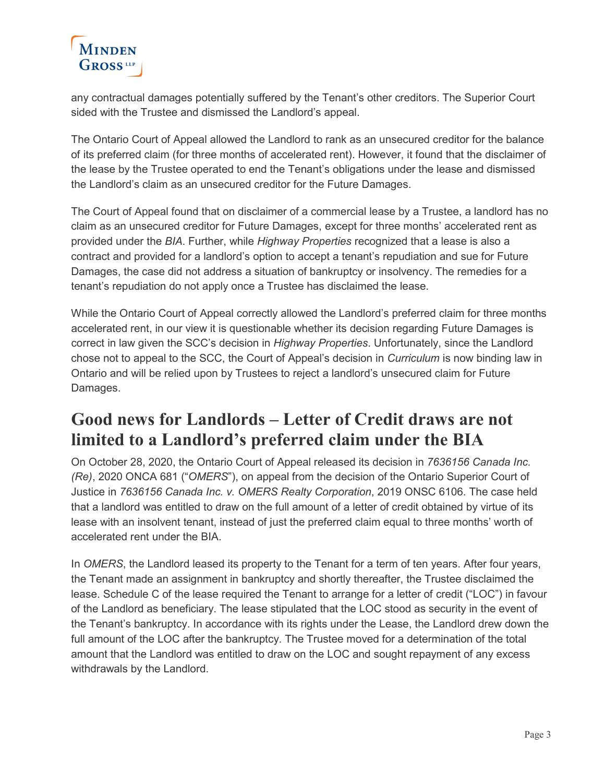

any contractual damages potentially suffered by the Tenant's other creditors. The Superior Court sided with the Trustee and dismissed the Landlord's appeal.

The Ontario Court of Appeal allowed the Landlord to rank as an unsecured creditor for the balance of its preferred claim (for three months of accelerated rent). However, it found that the disclaimer of the lease by the Trustee operated to end the Tenant's obligations under the lease and dismissed the Landlord's claim as an unsecured creditor for the Future Damages.

The Court of Appeal found that on disclaimer of a commercial lease by a Trustee, a landlord has no claim as an unsecured creditor for Future Damages, except for three months' accelerated rent as provided under the *BIA*. Further, while *Highway Properties* recognized that a lease is also a contract and provided for a landlord's option to accept a tenant's repudiation and sue for Future Damages, the case did not address a situation of bankruptcy or insolvency. The remedies for a tenant's repudiation do not apply once a Trustee has disclaimed the lease.

While the Ontario Court of Appeal correctly allowed the Landlord's preferred claim for three months accelerated rent, in our view it is questionable whether its decision regarding Future Damages is correct in law given the SCC's decision in *Highway Properties*. Unfortunately, since the Landlord chose not to appeal to the SCC, the Court of Appeal's decision in *Curriculum* is now binding law in Ontario and will be relied upon by Trustees to reject a landlord's unsecured claim for Future Damages.

### **Good news for Landlords – Letter of Credit draws are not limited to a Landlord's preferred claim under the BIA**

On October 28, 2020, the Ontario Court of Appeal released its decision in *7636156 Canada Inc. (Re)*, 2020 ONCA 681 ("*OMERS*"), on appeal from the decision of the Ontario Superior Court of Justice in *7636156 Canada Inc. v. OMERS Realty Corporation*, 2019 ONSC 6106. The case held that a landlord was entitled to draw on the full amount of a letter of credit obtained by virtue of its lease with an insolvent tenant, instead of just the preferred claim equal to three months' worth of accelerated rent under the BIA.

In *OMERS*, the Landlord leased its property to the Tenant for a term of ten years. After four years, the Tenant made an assignment in bankruptcy and shortly thereafter, the Trustee disclaimed the lease. Schedule C of the lease required the Tenant to arrange for a letter of credit ("LOC") in favour of the Landlord as beneficiary. The lease stipulated that the LOC stood as security in the event of the Tenant's bankruptcy. In accordance with its rights under the Lease, the Landlord drew down the full amount of the LOC after the bankruptcy. The Trustee moved for a determination of the total amount that the Landlord was entitled to draw on the LOC and sought repayment of any excess withdrawals by the Landlord.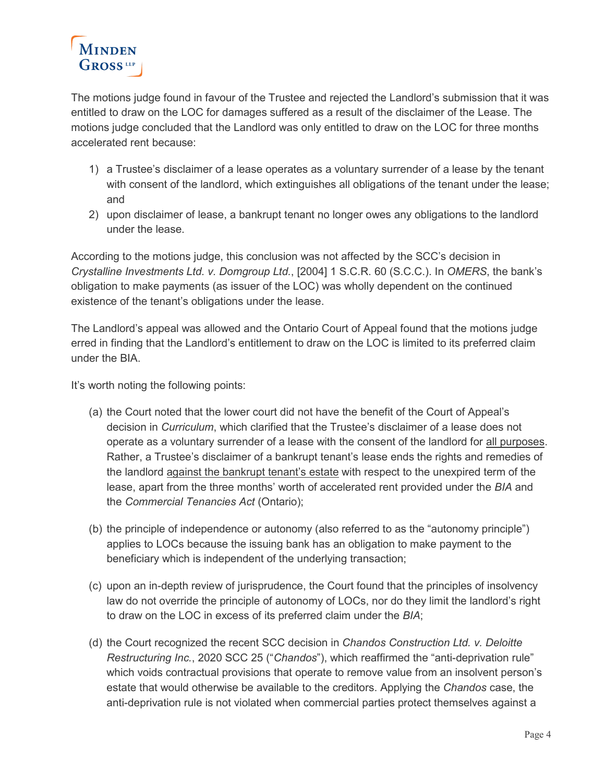

The motions judge found in favour of the Trustee and rejected the Landlord's submission that it was entitled to draw on the LOC for damages suffered as a result of the disclaimer of the Lease. The motions judge concluded that the Landlord was only entitled to draw on the LOC for three months accelerated rent because:

- 1) a Trustee's disclaimer of a lease operates as a voluntary surrender of a lease by the tenant with consent of the landlord, which extinguishes all obligations of the tenant under the lease; and
- 2) upon disclaimer of lease, a bankrupt tenant no longer owes any obligations to the landlord under the lease.

According to the motions judge, this conclusion was not affected by the SCC's decision in *Crystalline Investments Ltd. v. Domgroup Ltd.*, [2004] 1 S.C.R. 60 (S.C.C.). In *OMERS*, the bank's obligation to make payments (as issuer of the LOC) was wholly dependent on the continued existence of the tenant's obligations under the lease.

The Landlord's appeal was allowed and the Ontario Court of Appeal found that the motions judge erred in finding that the Landlord's entitlement to draw on the LOC is limited to its preferred claim under the BIA.

It's worth noting the following points:

- (a) the Court noted that the lower court did not have the benefit of the Court of Appeal's decision in *Curriculum*, which clarified that the Trustee's disclaimer of a lease does not operate as a voluntary surrender of a lease with the consent of the landlord for all purposes. Rather, a Trustee's disclaimer of a bankrupt tenant's lease ends the rights and remedies of the landlord against the bankrupt tenant's estate with respect to the unexpired term of the lease, apart from the three months' worth of accelerated rent provided under the *BIA* and the *Commercial Tenancies Act* (Ontario);
- (b) the principle of independence or autonomy (also referred to as the "autonomy principle") applies to LOCs because the issuing bank has an obligation to make payment to the beneficiary which is independent of the underlying transaction;
- (c) upon an in-depth review of jurisprudence, the Court found that the principles of insolvency law do not override the principle of autonomy of LOCs, nor do they limit the landlord's right to draw on the LOC in excess of its preferred claim under the *BIA*;
- (d) the Court recognized the recent SCC decision in *Chandos Construction Ltd. v. Deloitte Restructuring Inc.*, 2020 SCC 25 ("*Chandos*"), which reaffirmed the "anti-deprivation rule" which voids contractual provisions that operate to remove value from an insolvent person's estate that would otherwise be available to the creditors. Applying the *Chandos* case, the anti-deprivation rule is not violated when commercial parties protect themselves against a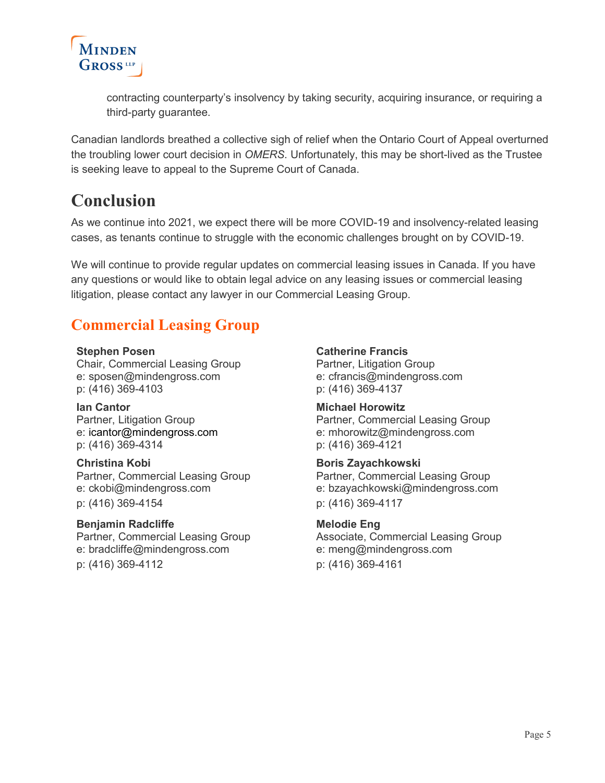

contracting counterparty's insolvency by taking security, acquiring insurance, or requiring a third-party guarantee.

Canadian landlords breathed a collective sigh of relief when the Ontario Court of Appeal overturned the troubling lower court decision in *OMERS*. Unfortunately, this may be short-lived as the Trustee is seeking leave to appeal to the Supreme Court of Canada.

### **Conclusion**

As we continue into 2021, we expect there will be more COVID-19 and insolvency-related leasing cases, as tenants continue to struggle with the economic challenges brought on by COVID-19.

We will continue to provide regular updates on commercial leasing issues in Canada. If you have any questions or would like to obtain legal advice on any leasing issues or commercial leasing litigation, please contact any lawyer in our Commercial Leasing Group.

### **Commercial Leasing Group**

#### **[Stephen Posen](https://www.mindengross.com/our-people/details/stephen-posen)**

Chair, Commercial Leasing Group e: [sposen@mindengross.com](mailto:sposen@mindengross.com) p: (416) 369-4103

**Ian Cantor** Partner, Litigation Group e: [icantor@mindengross.com](mailto:icantor@mindengross.com) p: (416) 369-4314

#### **[Christina Kobi](https://www.mindengross.com/our-people/details/christina-kobi)**

Partner, Commercial Leasing Group e: [ckobi@mindengross.com](mailto:ckobi@mindengross.com) p: (416) 369-4154

#### **[Benjamin Radcliffe](https://www.mindengross.com/our-people/details/benjamin-radcliffe)**

Partner, Commercial Leasing Group e: [bradcliffe@mindengross.com](mailto:bradcliffe@mindengross.com) p: (416) 369-4112

#### **Catherine Francis**

Partner, Litigation Group e: [cfrancis@mindengross.com](mailto:%20cfrancis@mindengross.com) p: (416) 369-4137

#### **[Michael Horowitz](https://www.mindengross.com/our-people/details/michael-horowitz)**

Partner, Commercial Leasing Group e: [mhorowitz@mindengross.com](mailto:mhorowitz@mindengross.com) p: (416) 369-4121

#### **[Boris Zayachkowski](https://www.mindengross.com/our-people/details/boris-zayachkowski)**

Partner, Commercial Leasing Group e: [bzayachkowski@mindengross.com](mailto:bzayachkowski@mindengross.com) p: (416) 369-4117

#### **[Melodie Eng](https://www.mindengross.com/our-people/details/melodie-eng)**

Associate, Commercial Leasing Group e: [meng@mindengross.com](mailto:meng@mindengross.com) p: (416) 369-4161